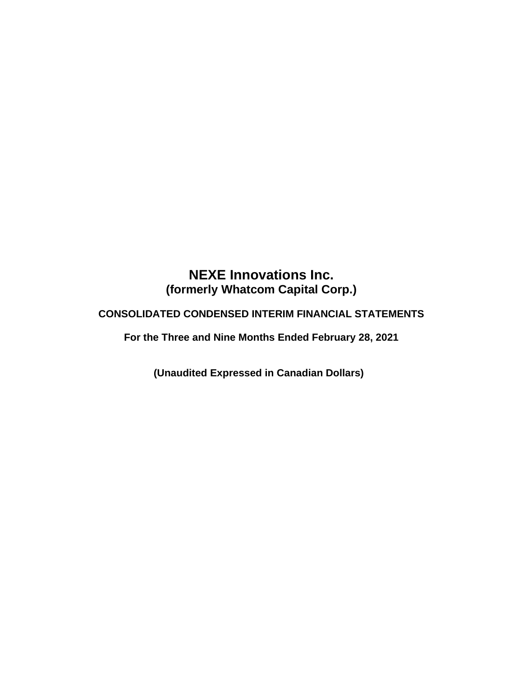# **NEXE Innovations Inc. (formerly Whatcom Capital Corp.)**

## **CONSOLIDATED CONDENSED INTERIM FINANCIAL STATEMENTS**

**For the Three and Nine Months Ended February 28, 2021**

**(Unaudited Expressed in Canadian Dollars)**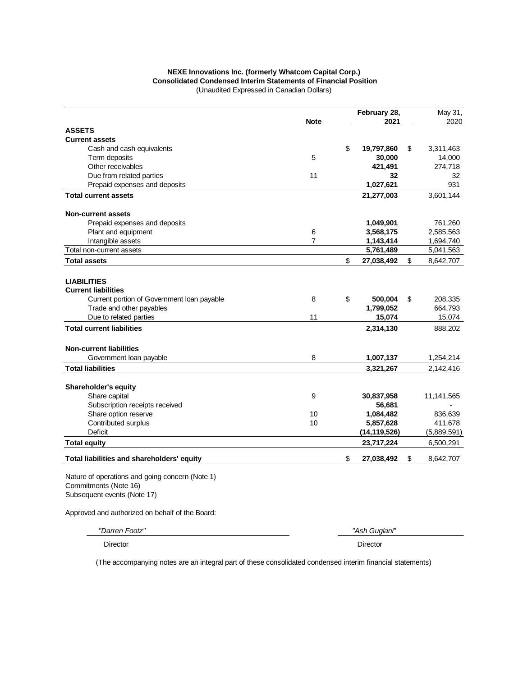#### **NEXE Innovations Inc. (formerly Whatcom Capital Corp.) Consolidated Condensed Interim Statements of Financial Position** (Unaudited Expressed in Canadian Dollars)

|                                                                                                         | <b>Note</b>    | February 28,<br>2021 | May 31,<br>2020 |
|---------------------------------------------------------------------------------------------------------|----------------|----------------------|-----------------|
| <b>ASSETS</b>                                                                                           |                |                      |                 |
| <b>Current assets</b>                                                                                   |                |                      |                 |
| Cash and cash equivalents                                                                               |                | \$<br>19,797,860     | \$<br>3,311,463 |
| Term deposits                                                                                           | 5              | 30,000               | 14,000          |
| Other receivables                                                                                       |                | 421,491              | 274,718         |
| Due from related parties                                                                                | 11             | 32                   | 32              |
| Prepaid expenses and deposits                                                                           |                | 1,027,621            | 931             |
| <b>Total current assets</b>                                                                             |                | 21,277,003           | 3,601,144       |
| <b>Non-current assets</b>                                                                               |                |                      |                 |
| Prepaid expenses and deposits                                                                           |                | 1,049,901            | 761,260         |
| Plant and equipment                                                                                     | 6              | 3,568,175            | 2,585,563       |
| Intangible assets                                                                                       | $\overline{7}$ | 1,143,414            | 1,694,740       |
| Total non-current assets                                                                                |                | 5,761,489            | 5,041,563       |
| <b>Total assets</b>                                                                                     |                | \$<br>27,038,492     | \$<br>8,642,707 |
| <b>LIABILITIES</b><br><b>Current liabilities</b>                                                        |                |                      |                 |
| Current portion of Government Ioan payable                                                              | 8              | \$<br>500,004        | \$<br>208,335   |
| Trade and other payables                                                                                |                | 1,799,052            | 664,793         |
| Due to related parties                                                                                  | 11             | 15,074               | 15,074          |
| <b>Total current liabilities</b>                                                                        |                | 2,314,130            | 888,202         |
| <b>Non-current liabilities</b>                                                                          |                |                      |                 |
| Government loan payable                                                                                 | 8              | 1,007,137            | 1,254,214       |
| <b>Total liabilities</b>                                                                                |                | 3,321,267            | 2,142,416       |
| Shareholder's equity                                                                                    |                |                      |                 |
| Share capital                                                                                           | 9              | 30,837,958           | 11,141,565      |
| Subscription receipts received                                                                          |                | 56,681               |                 |
| Share option reserve                                                                                    | 10             | 1,084,482            | 836,639         |
| Contributed surplus                                                                                     | 10             | 5,857,628            | 411,678         |
| <b>Deficit</b>                                                                                          |                | (14, 119, 526)       | (5,889,591)     |
| <b>Total equity</b>                                                                                     |                | 23,717,224           | 6,500,291       |
| Total liabilities and shareholders' equity                                                              |                | \$<br>27,038,492     | \$<br>8,642,707 |
| Nature of operations and going concern (Note 1)<br>Commitments (Note 16)<br>Subsequent events (Note 17) |                |                      |                 |

Approved and authorized on behalf of the Board:

*"Darren Footz" "Ash Guglani"*

Director Director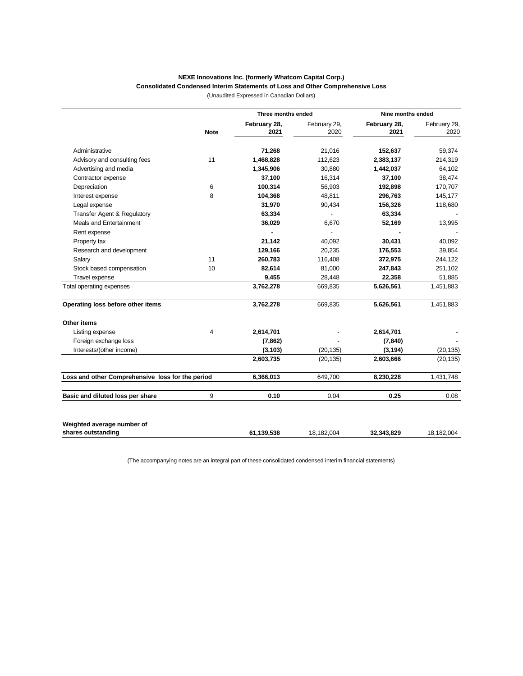#### **NEXE Innovations Inc. (formerly Whatcom Capital Corp.) Consolidated Condensed Interim Statements of Loss and Other Comprehensive Loss**

(Unaudited Expressed in Canadian Dollars)

|                                                  |             | Three months ended   |                      | Nine months ended    |                      |  |
|--------------------------------------------------|-------------|----------------------|----------------------|----------------------|----------------------|--|
|                                                  | <b>Note</b> | February 28,<br>2021 | February 29,<br>2020 | February 28,<br>2021 | February 29,<br>2020 |  |
| Administrative                                   |             | 71,268               | 21,016               | 152,637              | 59,374               |  |
| Advisory and consulting fees                     | 11          | 1,468,828            | 112,623              | 2,383,137            | 214,319              |  |
| Advertising and media                            |             | 1,345,906            | 30,880               | 1,442,037            | 64,102               |  |
| Contractor expense                               |             | 37,100               | 16,314               | 37,100               | 38,474               |  |
| Depreciation                                     | 6           | 100,314              | 56,903               | 192,898              | 170,707              |  |
| Interest expense                                 | 8           | 104,368              | 48,811               | 296,763              | 145,177              |  |
| Legal expense                                    |             | 31,970               | 90,434               | 156,326              | 118,680              |  |
| Transfer Agent & Regulatory                      |             | 63,334               |                      | 63,334               |                      |  |
| Meals and Entertainment                          |             | 36,029               | 6,670                | 52,169               | 13,995               |  |
| Rent expense                                     |             |                      |                      |                      |                      |  |
| Property tax                                     |             | 21,142               | 40,092               | 30,431               | 40,092               |  |
| Research and development                         |             | 129,166              | 20,235               | 176,553              | 39,854               |  |
| Salary                                           | 11          | 260,783              | 116,408              | 372,975              | 244,122              |  |
| Stock based compensation                         | 10          | 82,614               | 81,000               | 247,843              | 251,102              |  |
| Travel expense                                   |             | 9,455                | 28,448               | 22,358               | 51,885               |  |
| Total operating expenses                         |             | 3,762,278            | 669,835              | 5,626,561            | 1,451,883            |  |
| Operating loss before other items                |             | 3,762,278            | 669,835              | 5,626,561            | 1,451,883            |  |
| Other items                                      |             |                      |                      |                      |                      |  |
| Listing expense                                  | 4           | 2,614,701            |                      | 2,614,701            |                      |  |
| Foreign exchange loss                            |             | (7, 862)             |                      | (7, 840)             |                      |  |
| Interests/(other income)                         |             | (3, 103)             | (20, 135)            | (3, 194)             | (20, 135)            |  |
|                                                  |             | 2,603,735            | (20, 135)            | 2,603,666            | (20, 135)            |  |
| Loss and other Comprehensive loss for the period |             | 6,366,013            | 649,700              | 8,230,228            | 1,431,748            |  |
| Basic and diluted loss per share                 | 9           | 0.10                 | 0.04                 | 0.25                 | 0.08                 |  |
|                                                  |             |                      |                      |                      |                      |  |
| Weighted average number of                       |             |                      |                      |                      |                      |  |
| shares outstanding                               |             | 61,139,538           | 18,182,004           | 32,343,829           | 18,182,004           |  |
|                                                  |             |                      |                      |                      |                      |  |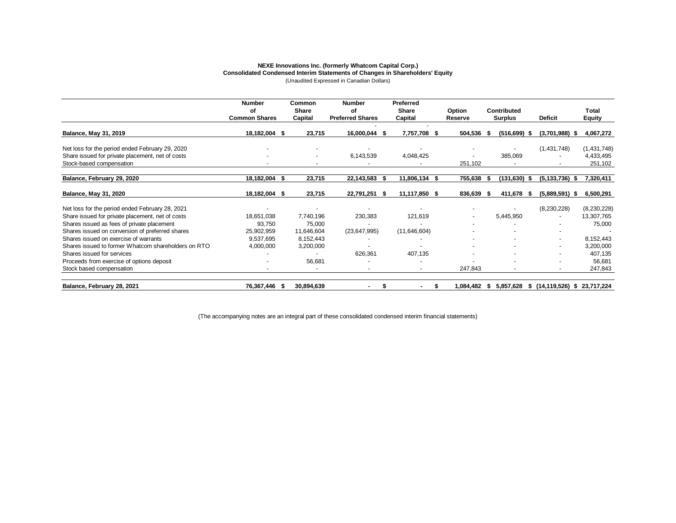#### **NEXE Innovations Inc. (formerly Whatcom Capital Corp.) Consolidated Condensed Interim Statements of Changes in Shareholders' Equity** (Unaudited Expressed in Canadian Dollars)

|                                                     | <b>Number</b>        | Common                   | <b>Number</b>            | Preferred                |            |                    |                                   |               |
|-----------------------------------------------------|----------------------|--------------------------|--------------------------|--------------------------|------------|--------------------|-----------------------------------|---------------|
|                                                     | οf                   | Share                    | οf                       | Share                    | Option     | Contributed        |                                   | Total         |
|                                                     | <b>Common Shares</b> | Capital                  | <b>Preferred Shares</b>  | Capital                  | Reserve    | <b>Surplus</b>     | <b>Deficit</b>                    | <b>Equity</b> |
| <b>Balance, May 31, 2019</b>                        | 18,182,004 \$        | 23,715                   | 16,000,044 \$            | 7,757,708 \$             | 504,536 \$ | $(516, 699)$ \$    | $(3,701,988)$ \$                  | 4,067,272     |
| Net loss for the period ended February 29, 2020     |                      |                          |                          |                          |            |                    | (1,431,748)                       | (1,431,748)   |
| Share issued for private placement, net of costs    |                      | $\overline{\phantom{a}}$ | 6,143,539                | 4,048,425                |            | 385,069            |                                   | 4,433,495     |
| Stock-based compensation                            |                      |                          |                          |                          | 251,102    |                    |                                   | 251,102       |
| Balance, February 29, 2020                          | 18,182,004<br>£.     | 23,715                   | 22,143,583 \$            | 11,806,134 \$            | 755,638    | (131, 630)<br>- \$ | $(5, 133, 736)$ \$                | 7,320,411     |
| <b>Balance, May 31, 2020</b>                        | 18,182,004<br>- 55   | 23,715                   | 22,791,251 \$            | 11,117,850 \$            | 836,639    | 411,678<br>- 56    | $(5,889,591)$ \$                  | 6,500,291     |
| Net loss for the period ended February 28, 2021     |                      |                          |                          |                          |            |                    | (8,230,228)                       | (8,230,228)   |
| Share issued for private placement, net of costs    | 18,651,038           | 7,740,196                | 230,383                  | 121,619                  |            | 5,445,950          |                                   | 13,307,765    |
| Shares issued as fees of private placement          | 93,750               | 75,000                   |                          |                          |            |                    |                                   | 75,000        |
| Shares issued on conversion of preferred shares     | 25,902,959           | 11,646,604               | (23, 647, 995)           | (11,646,604)             |            |                    |                                   |               |
| Shares issued on exercise of warrants               | 9,537,695            | 8,152,443                |                          |                          |            |                    | $\overline{\phantom{a}}$          | 8,152,443     |
| Shares issued to former Whatcom shareholders on RTO | 4,000,000            | 3,200,000                |                          |                          |            |                    |                                   | 3,200,000     |
| Shares issued for services                          |                      | $\overline{\phantom{a}}$ | 626,361                  | 407,135                  |            | -                  | $\overline{\phantom{a}}$          | 407,135       |
| Proceeds from exercise of options deposit           |                      | 56,681                   |                          |                          |            |                    |                                   | 56,681        |
| Stock based compensation                            |                      | $\overline{\phantom{a}}$ | $\overline{\phantom{a}}$ | $\overline{\phantom{a}}$ | 247,843    | $\sim$             | $\overline{\phantom{a}}$          | 247,843       |
| Balance, February 28, 2021                          | 76,367,446           | 30,894,639               |                          |                          | 84,482.ا   | 5,857,628<br>-S    | \$(14, 119, 526) \$23, 717, 224\$ |               |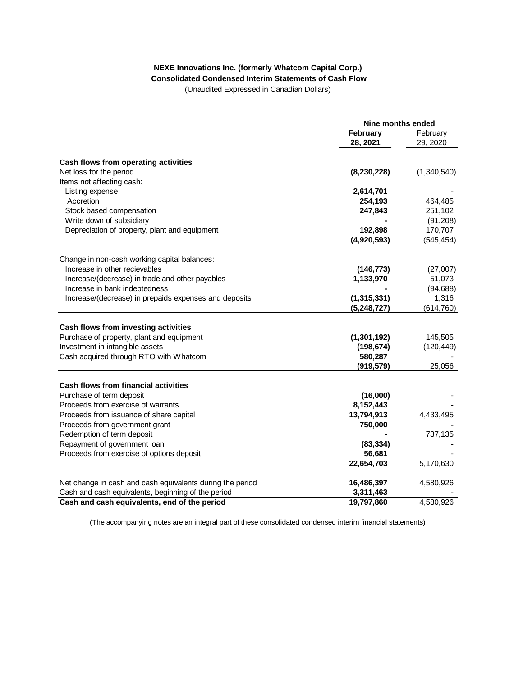#### **NEXE Innovations Inc. (formerly Whatcom Capital Corp.) Consolidated Condensed Interim Statements of Cash Flow**

(Unaudited Expressed in Canadian Dollars)

|                                                           | Nine months ended |             |
|-----------------------------------------------------------|-------------------|-------------|
|                                                           | February          | February    |
|                                                           | 28, 2021          | 29, 2020    |
|                                                           |                   |             |
| Cash flows from operating activities                      |                   |             |
| Net loss for the period                                   | (8, 230, 228)     | (1,340,540) |
| Items not affecting cash:                                 |                   |             |
| Listing expense                                           | 2,614,701         |             |
| Accretion                                                 | 254,193           | 464,485     |
| Stock based compensation                                  | 247,843           | 251,102     |
| Write down of subsidiary                                  |                   | (91, 208)   |
| Depreciation of property, plant and equipment             | 192,898           | 170,707     |
|                                                           | (4,920,593)       | (545, 454)  |
| Change in non-cash working capital balances:              |                   |             |
| Increase in other recievables                             | (146, 773)        | (27,007)    |
| Increase/(decrease) in trade and other payables           | 1,133,970         | 51,073      |
| Increase in bank indebtedness                             |                   | (94, 688)   |
| Increase/(decrease) in prepaids expenses and deposits     | (1, 315, 331)     | 1,316       |
|                                                           | (5, 248, 727)     | (614, 760)  |
| Cash flows from investing activities                      |                   |             |
| Purchase of property, plant and equipment                 | (1,301,192)       | 145,505     |
| Investment in intangible assets                           | (198, 674)        | (120, 449)  |
| Cash acquired through RTO with Whatcom                    | 580,287           |             |
|                                                           | (919, 579)        | 25,056      |
|                                                           |                   |             |
| <b>Cash flows from financial activities</b>               |                   |             |
| Purchase of term deposit                                  | (16,000)          |             |
| Proceeds from exercise of warrants                        | 8,152,443         |             |
| Proceeds from issuance of share capital                   | 13,794,913        | 4,433,495   |
| Proceeds from government grant                            | 750,000           |             |
| Redemption of term deposit                                |                   | 737,135     |
| Repayment of government loan                              | (83, 334)         |             |
| Proceeds from exercise of options deposit                 | 56,681            |             |
|                                                           | 22,654,703        | 5,170,630   |
| Net change in cash and cash equivalents during the period | 16,486,397        | 4,580,926   |
| Cash and cash equivalents, beginning of the period        | 3,311,463         |             |
| Cash and cash equivalents, end of the period              | 19,797,860        | 4,580,926   |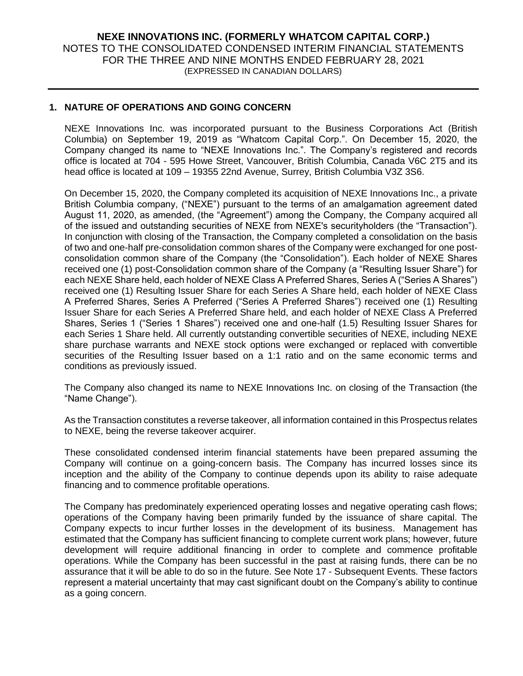#### **1. NATURE OF OPERATIONS AND GOING CONCERN**

NEXE Innovations Inc. was incorporated pursuant to the Business Corporations Act (British Columbia) on September 19, 2019 as "Whatcom Capital Corp.". On December 15, 2020, the Company changed its name to "NEXE Innovations Inc.". The Company's registered and records office is located at 704 - 595 Howe Street, Vancouver, British Columbia, Canada V6C 2T5 and its head office is located at 109 – 19355 22nd Avenue, Surrey, British Columbia V3Z 3S6.

On December 15, 2020, the Company completed its acquisition of NEXE Innovations Inc., a private British Columbia company, ("NEXE") pursuant to the terms of an amalgamation agreement dated August 11, 2020, as amended, (the "Agreement") among the Company, the Company acquired all of the issued and outstanding securities of NEXE from NEXE's securityholders (the "Transaction"). In conjunction with closing of the Transaction, the Company completed a consolidation on the basis of two and one-half pre-consolidation common shares of the Company were exchanged for one postconsolidation common share of the Company (the "Consolidation"). Each holder of NEXE Shares received one (1) post-Consolidation common share of the Company (a "Resulting Issuer Share") for each NEXE Share held, each holder of NEXE Class A Preferred Shares, Series A ("Series A Shares") received one (1) Resulting Issuer Share for each Series A Share held, each holder of NEXE Class A Preferred Shares, Series A Preferred ("Series A Preferred Shares") received one (1) Resulting Issuer Share for each Series A Preferred Share held, and each holder of NEXE Class A Preferred Shares, Series 1 ("Series 1 Shares") received one and one-half (1.5) Resulting Issuer Shares for each Series 1 Share held. All currently outstanding convertible securities of NEXE, including NEXE share purchase warrants and NEXE stock options were exchanged or replaced with convertible securities of the Resulting Issuer based on a 1:1 ratio and on the same economic terms and conditions as previously issued.

The Company also changed its name to NEXE Innovations Inc. on closing of the Transaction (the "Name Change").

As the Transaction constitutes a reverse takeover, all information contained in this Prospectus relates to NEXE, being the reverse takeover acquirer.

These consolidated condensed interim financial statements have been prepared assuming the Company will continue on a going-concern basis. The Company has incurred losses since its inception and the ability of the Company to continue depends upon its ability to raise adequate financing and to commence profitable operations.

The Company has predominately experienced operating losses and negative operating cash flows; operations of the Company having been primarily funded by the issuance of share capital. The Company expects to incur further losses in the development of its business. Management has estimated that the Company has sufficient financing to complete current work plans; however, future development will require additional financing in order to complete and commence profitable operations. While the Company has been successful in the past at raising funds, there can be no assurance that it will be able to do so in the future. See Note 17 - Subsequent Events. These factors represent a material uncertainty that may cast significant doubt on the Company's ability to continue as a going concern.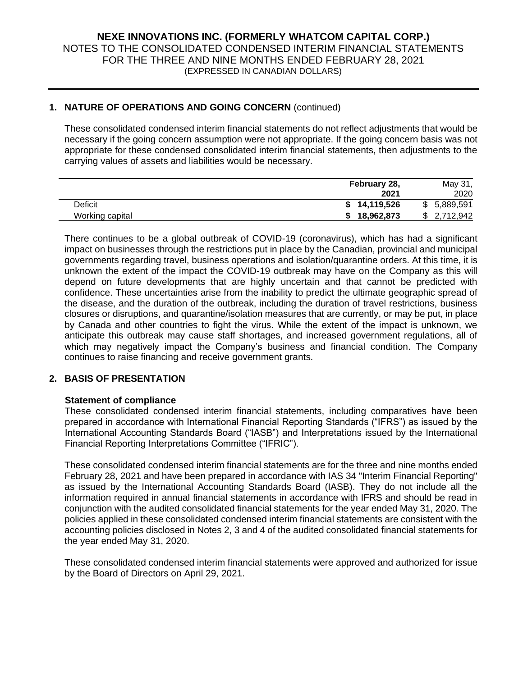## **1. NATURE OF OPERATIONS AND GOING CONCERN** (continued)

These consolidated condensed interim financial statements do not reflect adjustments that would be necessary if the going concern assumption were not appropriate. If the going concern basis was not appropriate for these condensed consolidated interim financial statements, then adjustments to the carrying values of assets and liabilities would be necessary.

|                 | February 28, | May 31,      |
|-----------------|--------------|--------------|
|                 | 2021         | 2020         |
| Deficit         | \$14,119,526 | \$ 5,889,591 |
| Working capital | 18,962,873   | \$2,712,942  |

There continues to be a global outbreak of COVID-19 (coronavirus), which has had a significant impact on businesses through the restrictions put in place by the Canadian, provincial and municipal governments regarding travel, business operations and isolation/quarantine orders. At this time, it is unknown the extent of the impact the COVID-19 outbreak may have on the Company as this will depend on future developments that are highly uncertain and that cannot be predicted with confidence. These uncertainties arise from the inability to predict the ultimate geographic spread of the disease, and the duration of the outbreak, including the duration of travel restrictions, business closures or disruptions, and quarantine/isolation measures that are currently, or may be put, in place by Canada and other countries to fight the virus. While the extent of the impact is unknown, we anticipate this outbreak may cause staff shortages, and increased government regulations, all of which may negatively impact the Company's business and financial condition. The Company continues to raise financing and receive government grants.

#### **2. BASIS OF PRESENTATION**

#### **Statement of compliance**

These consolidated condensed interim financial statements, including comparatives have been prepared in accordance with International Financial Reporting Standards ("IFRS") as issued by the International Accounting Standards Board ("IASB") and Interpretations issued by the International Financial Reporting Interpretations Committee ("IFRIC").

These consolidated condensed interim financial statements are for the three and nine months ended February 28, 2021 and have been prepared in accordance with IAS 34 "Interim Financial Reporting" as issued by the International Accounting Standards Board (IASB). They do not include all the information required in annual financial statements in accordance with IFRS and should be read in conjunction with the audited consolidated financial statements for the year ended May 31, 2020. The policies applied in these consolidated condensed interim financial statements are consistent with the accounting policies disclosed in Notes 2, 3 and 4 of the audited consolidated financial statements for the year ended May 31, 2020.

These consolidated condensed interim financial statements were approved and authorized for issue by the Board of Directors on April 29, 2021.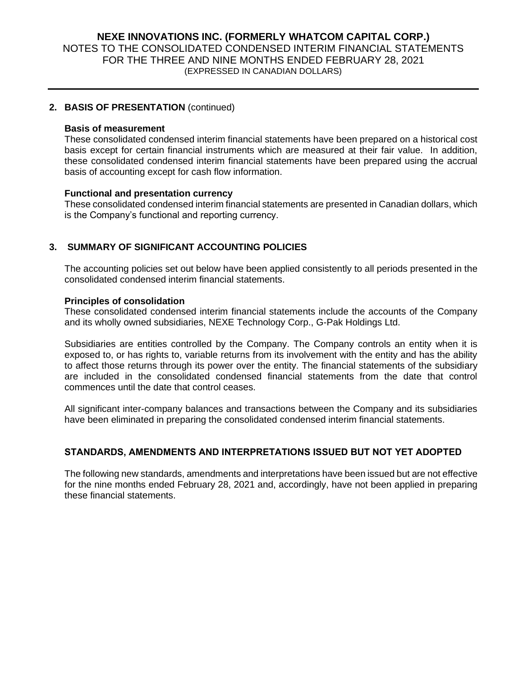#### **2. BASIS OF PRESENTATION** (continued)

#### **Basis of measurement**

These consolidated condensed interim financial statements have been prepared on a historical cost basis except for certain financial instruments which are measured at their fair value. In addition, these consolidated condensed interim financial statements have been prepared using the accrual basis of accounting except for cash flow information.

#### **Functional and presentation currency**

These consolidated condensed interim financial statements are presented in Canadian dollars, which is the Company's functional and reporting currency.

## **3. SUMMARY OF SIGNIFICANT ACCOUNTING POLICIES**

The accounting policies set out below have been applied consistently to all periods presented in the consolidated condensed interim financial statements.

#### **Principles of consolidation**

These consolidated condensed interim financial statements include the accounts of the Company and its wholly owned subsidiaries, NEXE Technology Corp., G-Pak Holdings Ltd.

Subsidiaries are entities controlled by the Company. The Company controls an entity when it is exposed to, or has rights to, variable returns from its involvement with the entity and has the ability to affect those returns through its power over the entity. The financial statements of the subsidiary are included in the consolidated condensed financial statements from the date that control commences until the date that control ceases.

All significant inter-company balances and transactions between the Company and its subsidiaries have been eliminated in preparing the consolidated condensed interim financial statements.

#### **STANDARDS, AMENDMENTS AND INTERPRETATIONS ISSUED BUT NOT YET ADOPTED**

The following new standards, amendments and interpretations have been issued but are not effective for the nine months ended February 28, 2021 and, accordingly, have not been applied in preparing these financial statements.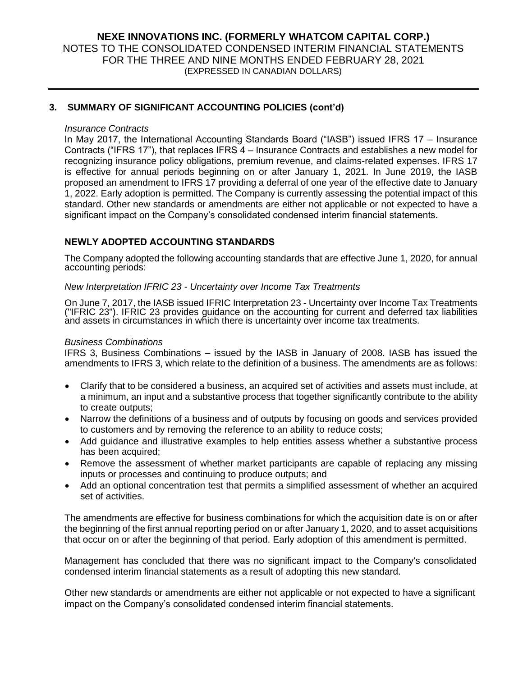#### **3. SUMMARY OF SIGNIFICANT ACCOUNTING POLICIES (cont'd)**

#### *Insurance Contracts*

In May 2017, the International Accounting Standards Board ("IASB") issued IFRS 17 – Insurance Contracts ("IFRS 17"), that replaces IFRS 4 – Insurance Contracts and establishes a new model for recognizing insurance policy obligations, premium revenue, and claims-related expenses. IFRS 17 is effective for annual periods beginning on or after January 1, 2021. In June 2019, the IASB proposed an amendment to IFRS 17 providing a deferral of one year of the effective date to January 1, 2022. Early adoption is permitted. The Company is currently assessing the potential impact of this standard. Other new standards or amendments are either not applicable or not expected to have a significant impact on the Company's consolidated condensed interim financial statements.

#### **NEWLY ADOPTED ACCOUNTING STANDARDS**

The Company adopted the following accounting standards that are effective June 1, 2020, for annual accounting periods:

#### *New Interpretation IFRIC 23 - Uncertainty over Income Tax Treatments*

On June 7, 2017, the IASB issued IFRIC Interpretation 23 - Uncertainty over Income Tax Treatments ("IFRIC 23"). IFRIC 23 provides guidance on the accounting for current and deferred tax liabilities and assets in circumstances in which there is uncertainty over income tax treatments.

#### *Business Combinations*

IFRS 3, Business Combinations – issued by the IASB in January of 2008. IASB has issued the amendments to IFRS 3, which relate to the definition of a business. The amendments are as follows:

- Clarify that to be considered a business, an acquired set of activities and assets must include, at a minimum, an input and a substantive process that together significantly contribute to the ability to create outputs;
- Narrow the definitions of a business and of outputs by focusing on goods and services provided to customers and by removing the reference to an ability to reduce costs;
- Add guidance and illustrative examples to help entities assess whether a substantive process has been acquired;
- Remove the assessment of whether market participants are capable of replacing any missing inputs or processes and continuing to produce outputs; and
- Add an optional concentration test that permits a simplified assessment of whether an acquired set of activities.

The amendments are effective for business combinations for which the acquisition date is on or after the beginning of the first annual reporting period on or after January 1, 2020, and to asset acquisitions that occur on or after the beginning of that period. Early adoption of this amendment is permitted.

Management has concluded that there was no significant impact to the Company's consolidated condensed interim financial statements as a result of adopting this new standard.

Other new standards or amendments are either not applicable or not expected to have a significant impact on the Company's consolidated condensed interim financial statements.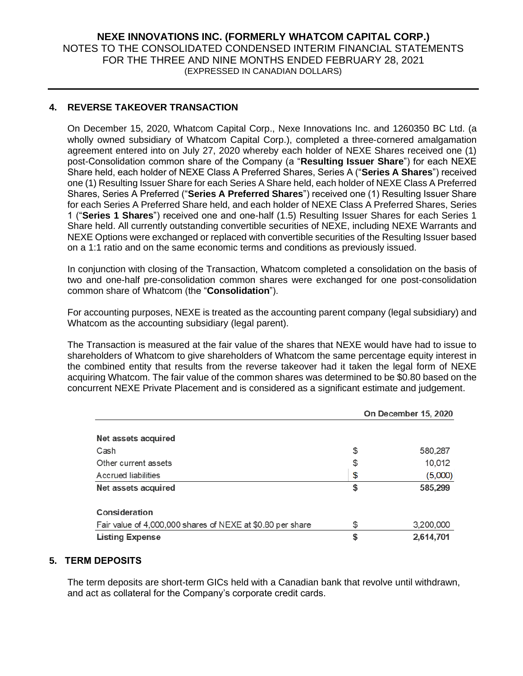## **4. REVERSE TAKEOVER TRANSACTION**

On December 15, 2020, Whatcom Capital Corp., Nexe Innovations Inc. and 1260350 BC Ltd. (a wholly owned subsidiary of Whatcom Capital Corp.), completed a three-cornered amalgamation agreement entered into on July 27, 2020 whereby each holder of NEXE Shares received one (1) post-Consolidation common share of the Company (a "**Resulting Issuer Share**") for each NEXE Share held, each holder of NEXE Class A Preferred Shares, Series A ("**Series A Shares**") received one (1) Resulting Issuer Share for each Series A Share held, each holder of NEXE Class A Preferred Shares, Series A Preferred ("**Series A Preferred Shares**") received one (1) Resulting Issuer Share for each Series A Preferred Share held, and each holder of NEXE Class A Preferred Shares, Series 1 ("**Series 1 Shares**") received one and one-half (1.5) Resulting Issuer Shares for each Series 1 Share held. All currently outstanding convertible securities of NEXE, including NEXE Warrants and NEXE Options were exchanged or replaced with convertible securities of the Resulting Issuer based on a 1:1 ratio and on the same economic terms and conditions as previously issued.

In conjunction with closing of the Transaction, Whatcom completed a consolidation on the basis of two and one-half pre-consolidation common shares were exchanged for one post-consolidation common share of Whatcom (the "**Consolidation**").

For accounting purposes, NEXE is treated as the accounting parent company (legal subsidiary) and Whatcom as the accounting subsidiary (legal parent).

The Transaction is measured at the fair value of the shares that NEXE would have had to issue to shareholders of Whatcom to give shareholders of Whatcom the same percentage equity interest in the combined entity that results from the reverse takeover had it taken the legal form of NEXE acquiring Whatcom. The fair value of the common shares was determined to be \$0.80 based on the concurrent NEXE Private Placement and is considered as a significant estimate and judgement.

|                                                            | On December 15, 2020 |  |  |  |
|------------------------------------------------------------|----------------------|--|--|--|
| Net assets acquired                                        |                      |  |  |  |
|                                                            |                      |  |  |  |
| Cash                                                       | \$<br>580,287        |  |  |  |
| Other current assets                                       | \$<br>10,012         |  |  |  |
| Accrued liabilities                                        | \$<br>(5,000)        |  |  |  |
| Net assets acquired                                        | \$<br>585,299        |  |  |  |
| Consideration                                              |                      |  |  |  |
| Fair value of 4,000,000 shares of NEXE at \$0.80 per share | \$<br>3,200,000      |  |  |  |
| <b>Listing Expense</b>                                     | \$<br>2,614,701      |  |  |  |

#### **5. TERM DEPOSITS**

The term deposits are short-term GICs held with a Canadian bank that revolve until withdrawn, and act as collateral for the Company's corporate credit cards.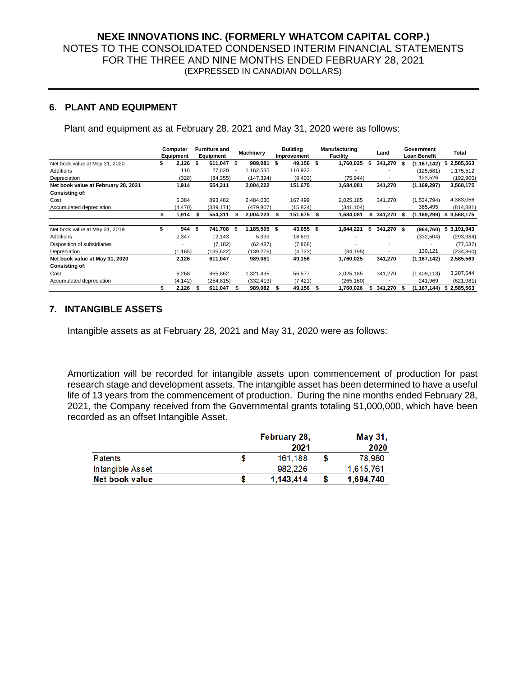#### **6. PLANT AND EQUIPMENT**

Plant and equipment as at February 28, 2021 and May 31, 2020 were as follows:

|                                     |    | Computer  | <b>Furniture and</b> |            | <b>Machinery</b> |     |             | <b>Building</b><br><b>Manufacturing</b> |                 |   |            | Land |               | Government      | Total |
|-------------------------------------|----|-----------|----------------------|------------|------------------|-----|-------------|-----------------------------------------|-----------------|---|------------|------|---------------|-----------------|-------|
|                                     |    | Equipment |                      | Equipment  |                  |     | Improvement |                                         | <b>Facility</b> |   |            |      | Loan Benefit  |                 |       |
| Net book value at May 31, 2020      |    | 2,126     | - \$                 | 611,047 \$ | 989,081          | \$  | 49,156 \$   |                                         | 1,760,025       | 5 | 341,270    | \$   | (1, 167, 142) | 2,585,563<br>\$ |       |
| Additions                           |    | 116       |                      | 27,620     | 1,162,535        |     | 110,922     |                                         |                 |   |            |      | (125, 681)    | 1,175,512       |       |
| Depreciation                        |    | (328)     |                      | (84, 355)  | (147, 394)       |     | (8,403)     |                                         | (75, 944)       |   |            |      | 123,526       | (192,900)       |       |
| Net book value at February 28, 2021 |    | 1,914     |                      | 554,311    | 2,004,222        |     | 151,675     |                                         | 1,684,081       |   | 341,270    |      | (1, 169, 297) | 3,568,175       |       |
| <b>Consisting of:</b>               |    |           |                      |            |                  |     |             |                                         |                 |   |            |      |               |                 |       |
| Cost                                |    | 6,384     |                      | 893,482    | 2,484,030        |     | 167,499     |                                         | 2,025,185       |   | 341,270    |      | (1,534,794)   | 4,383,056       |       |
| Accumulated depreciation            |    | (4, 470)  |                      | (339, 171) | (479, 807)       |     | (15, 824)   |                                         | (341, 104)      |   |            |      | 365,495       | (814, 881)      |       |
|                                     |    | 914.      |                      | 554,311    | 2,004,223        | - 5 | 151,675 \$  |                                         | 1,684,081       |   | 341,270 \$ |      | (1,169,299)   | 3,568,175<br>s  |       |
| Net book value at May 31, 2019      | \$ | 944       | - \$                 | 741,708 \$ | 1,185,505 \$     |     | 43,055 \$   |                                         | 1,844,221       | s | 341,270 \$ |      | (964, 760)    | 3,191,943<br>\$ |       |
| Additions                           |    | 2,347     |                      | 12,143     | 5,339            |     | 18,691      |                                         |                 |   |            |      | (332, 504)    | (293, 984)      |       |
| Disposition of subsidiaries         |    |           |                      | (7, 182)   | (62, 487)        |     | (7,868)     |                                         |                 |   |            |      |               | (77, 537)       |       |
| Depreciation                        |    | (1, 165)  |                      | (135,622)  | (139,276)        |     | (4, 723)    |                                         | (84, 195)       |   |            |      | 130,121       | (234, 860)      |       |
| Net book value at May 31, 2020      |    | 2,126     |                      | 611,047    | 989,081          |     | 49,156      |                                         | 1,760,025       |   | 341,270    |      | (1, 167, 142) | 2,585,563       |       |
| <b>Consisting of:</b>               |    |           |                      |            |                  |     |             |                                         |                 |   |            |      |               |                 |       |
| Cost                                |    | 6,268     |                      | 865,862    | 1,321,495        |     | 56,577      |                                         | 2,025,185       |   | 341,270    |      | (1,409,113)   | 3,207,544       |       |
| Accumulated depreciation            |    | (4, 142)  |                      | (254, 815) | (332, 413)       |     | (7, 421)    |                                         | (265, 160)      |   |            |      | 241,969       | (621, 981)      |       |
|                                     | S  | 2,126     |                      | 611,047    | 989,082          |     | 49,156      | s                                       | 1,760,026       |   | 341,270    | - 5  | (1,167,144)   | 2,585,563<br>s  |       |

#### **7. INTANGIBLE ASSETS**

Intangible assets as at February 28, 2021 and May 31, 2020 were as follows:

Amortization will be recorded for intangible assets upon commencement of production for past research stage and development assets. The intangible asset has been determined to have a useful life of 13 years from the commencement of production. During the nine months ended February 28, 2021, the Company received from the Governmental grants totaling \$1,000,000, which have been recorded as an offset Intangible Asset.

|                  |      | February 28, |  | May 31,   |  |  |
|------------------|------|--------------|--|-----------|--|--|
|                  | 2021 |              |  |           |  |  |
| Patents          |      | 161.188      |  | 78.980    |  |  |
| Intangible Asset |      | 982.226      |  | 1.615.761 |  |  |
| Net book value   |      | 1.143.414    |  | 1,694,740 |  |  |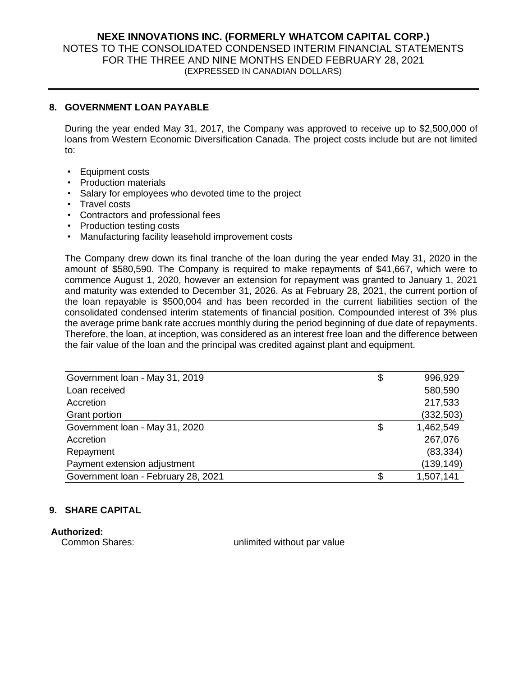#### **8. GOVERNMENT LOAN PAYABLE**

During the year ended May 31, 2017, the Company was approved to receive up to \$2,500,000 of loans from Western Economic Diversification Canada. The project costs include but are not limited to:

- Equipment costs
- Production materials
- Salary for employees who devoted time to the project
- Travel costs
- Contractors and professional fees
- Production testing costs
- Manufacturing facility leasehold improvement costs

The Company drew down its final tranche of the loan during the year ended May 31, 2020 in the amount of \$580,590. The Company is required to make repayments of \$41,667, which were to commence August 1, 2020, however an extension for repayment was granted to January 1, 2021 and maturity was extended to December 31, 2026. As at February 28, 2021, the current portion of the loan repayable is \$500,004 and has been recorded in the current liabilities section of the consolidated condensed interim statements of financial position. Compounded interest of 3% plus the average prime bank rate accrues monthly during the period beginning of due date of repayments. Therefore, the loan, at inception, was considered as an interest free loan and the difference between the fair value of the loan and the principal was credited against plant and equipment.

| Government loan - May 31, 2019      | \$<br>996,929   |
|-------------------------------------|-----------------|
| Loan received                       | 580,590         |
| Accretion                           | 217,533         |
| Grant portion                       | (332, 503)      |
| Government loan - May 31, 2020      | \$<br>1,462,549 |
| Accretion                           | 267,076         |
| Repayment                           | (83, 334)       |
| Payment extension adjustment        | (139, 149)      |
| Government loan - February 28, 2021 | \$<br>1,507,141 |

#### **9. SHARE CAPITAL**

**Authorized:** 

Common Shares: value and the unlimited without par value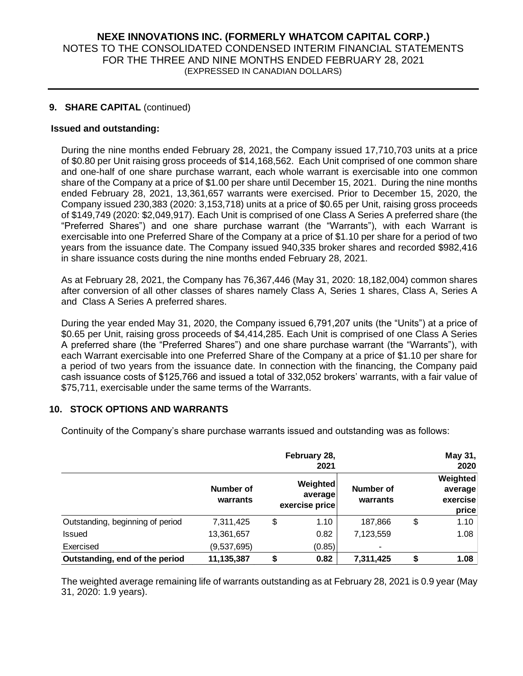#### **9. SHARE CAPITAL** (continued)

#### **Issued and outstanding:**

During the nine months ended February 28, 2021, the Company issued 17,710,703 units at a price of \$0.80 per Unit raising gross proceeds of \$14,168,562. Each Unit comprised of one common share and one-half of one share purchase warrant, each whole warrant is exercisable into one common share of the Company at a price of \$1.00 per share until December 15, 2021. During the nine months ended February 28, 2021, 13,361,657 warrants were exercised. Prior to December 15, 2020, the Company issued 230,383 (2020: 3,153,718) units at a price of \$0.65 per Unit, raising gross proceeds of \$149,749 (2020: \$2,049,917). Each Unit is comprised of one Class A Series A preferred share (the "Preferred Shares") and one share purchase warrant (the "Warrants"), with each Warrant is exercisable into one Preferred Share of the Company at a price of \$1.10 per share for a period of two years from the issuance date. The Company issued 940,335 broker shares and recorded \$982,416 in share issuance costs during the nine months ended February 28, 2021.

As at February 28, 2021, the Company has 76,367,446 (May 31, 2020: 18,182,004) common shares after conversion of all other classes of shares namely Class A, Series 1 shares, Class A, Series A and Class A Series A preferred shares.

During the year ended May 31, 2020, the Company issued 6,791,207 units (the "Units") at a price of \$0.65 per Unit, raising gross proceeds of \$4,414,285. Each Unit is comprised of one Class A Series A preferred share (the "Preferred Shares") and one share purchase warrant (the "Warrants"), with each Warrant exercisable into one Preferred Share of the Company at a price of \$1.10 per share for a period of two years from the issuance date. In connection with the financing, the Company paid cash issuance costs of \$125,766 and issued a total of 332,052 brokers' warrants, with a fair value of \$75,711, exercisable under the same terms of the Warrants.

#### **10. STOCK OPTIONS AND WARRANTS**

|                                  |                       | May 31,<br>2020                       |                       |                                                 |
|----------------------------------|-----------------------|---------------------------------------|-----------------------|-------------------------------------------------|
|                                  | Number of<br>warrants | Weighted<br>average<br>exercise price | Number of<br>warrants | <b>Weighted</b><br>average<br>exercise<br>price |
| Outstanding, beginning of period | 7,311,425             | \$<br>1.10                            | 187,866               | \$<br>1.10                                      |
| <b>Issued</b>                    | 13,361,657            | 0.82                                  | 7,123,559             | 1.08                                            |
| Exercised                        | (9,537,695)           | (0.85)                                |                       |                                                 |
| Outstanding, end of the period   | 11,135,387            | \$<br>0.82                            | 7,311,425             | \$<br>1.08                                      |

Continuity of the Company's share purchase warrants issued and outstanding was as follows:

The weighted average remaining life of warrants outstanding as at February 28, 2021 is 0.9 year (May 31, 2020: 1.9 years).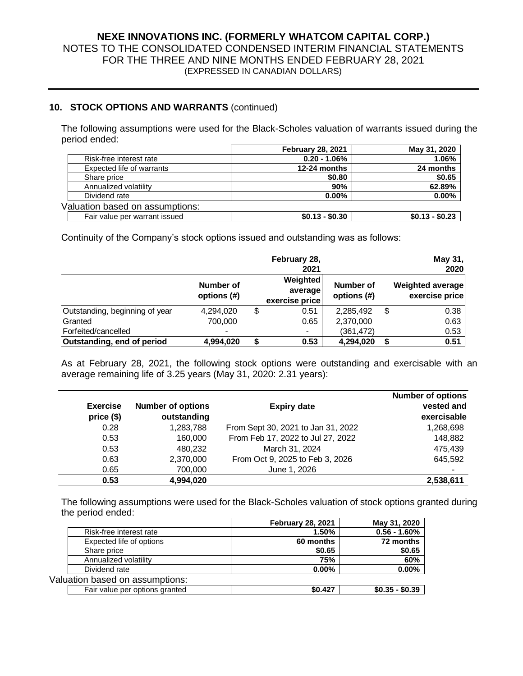## **10. STOCK OPTIONS AND WARRANTS** (continued)

The following assumptions were used for the Black-Scholes valuation of warrants issued during the period ended:

|                                 | <b>February 28, 2021</b> | May 31, 2020    |
|---------------------------------|--------------------------|-----------------|
| Risk-free interest rate         | $0.20 - 1.06\%$          | 1.06%           |
| Expected life of warrants       | 12-24 months             | 24 months       |
| Share price                     | \$0.80                   | \$0.65          |
| Annualized volatility           | 90%                      | 62.89%          |
| Dividend rate                   | $0.00\%$                 | $0.00\%$        |
| Valuation based on assumptions: |                          |                 |
| Fair value per warrant issued   | $$0.13 - $0.30$          | $$0.13 - $0.23$ |

Continuity of the Company's stock options issued and outstanding was as follows:

|                                |                          |    | February 28,<br>2021                  |                          | May 31,<br>2020                           |
|--------------------------------|--------------------------|----|---------------------------------------|--------------------------|-------------------------------------------|
|                                | Number of<br>options (#) |    | Weighted<br>average<br>exercise price | Number of<br>options (#) | <b>Weighted average</b><br>exercise price |
| Outstanding, beginning of year | 4,294,020                | \$ | 0.51                                  | 2,285,492                | \$<br>0.38                                |
| Granted                        | 700,000                  |    | 0.65                                  | 2,370,000                | 0.63                                      |
| Forfeited/cancelled            | $\blacksquare$           |    | $\blacksquare$                        | (361,472)                | 0.53                                      |
| Outstanding, end of period     | 4,994,020                | S  | 0.53                                  | 4,294,020                | 0.51                                      |

As at February 28, 2021, the following stock options were outstanding and exercisable with an average remaining life of 3.25 years (May 31, 2020: 2.31 years):

| <b>Exercise</b><br>price(\$) | <b>Number of options</b><br>outstanding | <b>Expiry date</b>                 | <b>Number of options</b><br>vested and<br>exercisable |  |  |
|------------------------------|-----------------------------------------|------------------------------------|-------------------------------------------------------|--|--|
| 0.28                         | 1,283,788                               | From Sept 30, 2021 to Jan 31, 2022 | 1,268,698                                             |  |  |
| 0.53                         | 160,000                                 | From Feb 17, 2022 to Jul 27, 2022  | 148,882                                               |  |  |
| 0.53                         | 480,232                                 | March 31, 2024                     | 475.439                                               |  |  |
| 0.63                         | 2,370,000                               | From Oct 9, 2025 to Feb 3, 2026    | 645,592                                               |  |  |
| 0.65                         | 700,000                                 | June 1, 2026                       |                                                       |  |  |
| 0.53                         | 4,994,020                               |                                    | 2,538,611                                             |  |  |

The following assumptions were used for the Black-Scholes valuation of stock options granted during the period ended:

|                                 | <b>February 28, 2021</b> | May 31, 2020    |
|---------------------------------|--------------------------|-----------------|
| Risk-free interest rate         | 1.50%                    | $0.56 - 1.60\%$ |
| Expected life of options        | 60 months                | 72 months       |
| Share price                     | \$0.65                   | \$0.65          |
| Annualized volatility           | 75%                      | 60%             |
| Dividend rate                   | $0.00\%$                 | $0.00\%$        |
| Valuation based on assumptions: |                          |                 |
| Fair value per options granted  | \$0.427                  | $$0.35 - $0.39$ |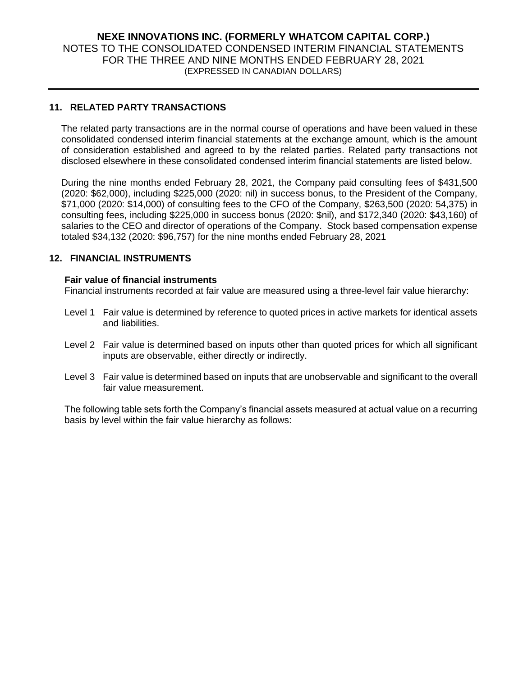#### **11. RELATED PARTY TRANSACTIONS**

The related party transactions are in the normal course of operations and have been valued in these consolidated condensed interim financial statements at the exchange amount, which is the amount of consideration established and agreed to by the related parties. Related party transactions not disclosed elsewhere in these consolidated condensed interim financial statements are listed below.

During the nine months ended February 28, 2021, the Company paid consulting fees of \$431,500 (2020: \$62,000), including \$225,000 (2020: nil) in success bonus, to the President of the Company, \$71,000 (2020: \$14,000) of consulting fees to the CFO of the Company, \$263,500 (2020: 54,375) in consulting fees, including \$225,000 in success bonus (2020: \$nil), and \$172,340 (2020: \$43,160) of salaries to the CEO and director of operations of the Company. Stock based compensation expense totaled \$34,132 (2020: \$96,757) for the nine months ended February 28, 2021

#### **12. FINANCIAL INSTRUMENTS**

#### **Fair value of financial instruments**

Financial instruments recorded at fair value are measured using a three-level fair value hierarchy:

- Level 1 Fair value is determined by reference to quoted prices in active markets for identical assets and liabilities.
- Level 2 Fair value is determined based on inputs other than quoted prices for which all significant inputs are observable, either directly or indirectly.
- Level 3 Fair value is determined based on inputs that are unobservable and significant to the overall fair value measurement.

The following table sets forth the Company's financial assets measured at actual value on a recurring basis by level within the fair value hierarchy as follows: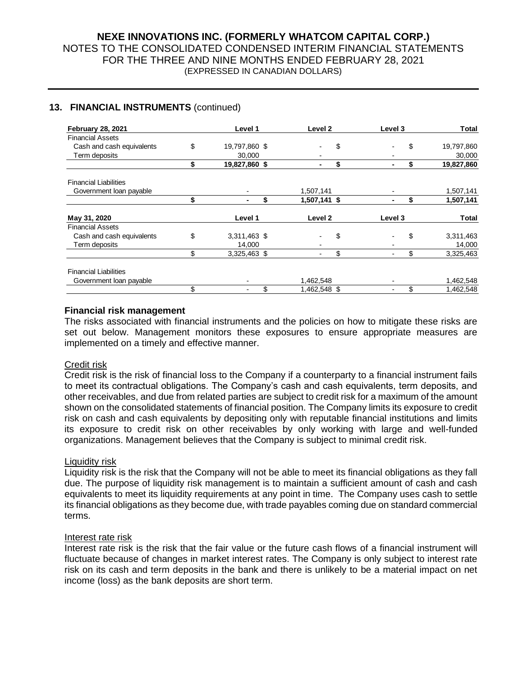#### **13. FINANCIAL INSTRUMENTS** (continued)

| <b>February 28, 2021</b>     |    | Level 1       | Level <sub>2</sub> | Level 3 | Total            |
|------------------------------|----|---------------|--------------------|---------|------------------|
| <b>Financial Assets</b>      |    |               |                    |         |                  |
| Cash and cash equivalents    | \$ | 19,797,860 \$ |                    | \$      | \$<br>19,797,860 |
| Term deposits                |    | 30,000        |                    |         | 30,000           |
|                              | \$ | 19,827,860 \$ | -                  | \$      | \$<br>19,827,860 |
| <b>Financial Liabilities</b> |    |               |                    |         |                  |
| Government loan payable      |    |               | 1,507,141          |         | 1,507,141        |
|                              | S  |               | \$<br>1,507,141 \$ |         | \$<br>1,507,141  |
| May 31, 2020                 |    | Level 1       | Level <sub>2</sub> | Level 3 | <b>Total</b>     |
| <b>Financial Assets</b>      |    |               |                    |         |                  |
| Cash and cash equivalents    | \$ | 3,311,463 \$  |                    | \$      | \$<br>3,311,463  |
| Term deposits                |    | 14,000        |                    |         | 14,000           |
|                              | \$ | 3,325,463 \$  |                    | \$      | \$<br>3,325,463  |
| <b>Financial Liabilities</b> |    |               |                    |         |                  |
| Government loan payable      |    |               | 1,462,548          |         | 1,462,548        |
|                              | \$ |               | \$<br>1,462,548 \$ |         | \$<br>1,462,548  |

#### **Financial risk management**

The risks associated with financial instruments and the policies on how to mitigate these risks are set out below. Management monitors these exposures to ensure appropriate measures are implemented on a timely and effective manner.

#### Credit risk

Credit risk is the risk of financial loss to the Company if a counterparty to a financial instrument fails to meet its contractual obligations. The Company's cash and cash equivalents, term deposits, and other receivables, and due from related parties are subject to credit risk for a maximum of the amount shown on the consolidated statements of financial position. The Company limits its exposure to credit risk on cash and cash equivalents by depositing only with reputable financial institutions and limits its exposure to credit risk on other receivables by only working with large and well-funded organizations. Management believes that the Company is subject to minimal credit risk.

#### Liquidity risk

Liquidity risk is the risk that the Company will not be able to meet its financial obligations as they fall due. The purpose of liquidity risk management is to maintain a sufficient amount of cash and cash equivalents to meet its liquidity requirements at any point in time. The Company uses cash to settle its financial obligations as they become due, with trade payables coming due on standard commercial terms.

#### Interest rate risk

Interest rate risk is the risk that the fair value or the future cash flows of a financial instrument will fluctuate because of changes in market interest rates. The Company is only subject to interest rate risk on its cash and term deposits in the bank and there is unlikely to be a material impact on net income (loss) as the bank deposits are short term.